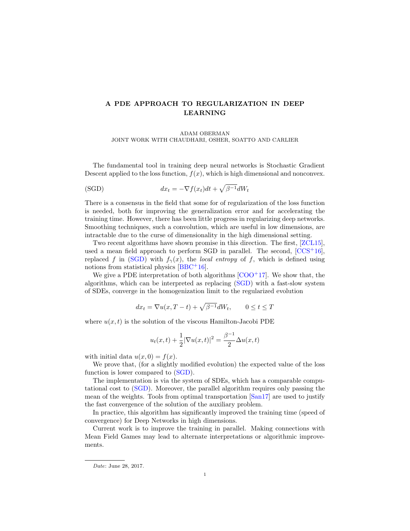## A PDE APPROACH TO REGULARIZATION IN DEEP LEARNING

ADAM OBERMAN

JOINT WORK WITH CHAUDHARI, OSHER, SOATTO AND CARLIER

The fundamental tool in training deep neural networks is Stochastic Gradient Descent applied to the loss function,  $f(x)$ , which is high dimensional and nonconvex.

<span id="page-0-0"></span>(SGD) 
$$
dx_t = -\nabla f(x_t)dt + \sqrt{\beta^{-1}}dW_t
$$

There is a consensus in the field that some for of regularization of the loss function is needed, both for improving the generalization error and for accelerating the training time. However, there has been little progress in regularizing deep networks. Smoothing techniques, such a convolution, which are useful in low dimensions, are intractable due to the curse of dimensionality in the high dimensional setting.

Two recent algorithms have shown promise in this direction. The first, [\[ZCL15\]](#page-1-0), used a mean field approach to perform SGD in parallel. The second,  $[CCS^+16]$  $[CCS^+16]$ , replaced f in [\(SGD\)](#page-0-0) with  $f_{\gamma}(x)$ , the local entropy of f, which is defined using notions from statistical physics [\[BBC](#page-1-2)<sup>+</sup>16].

We give a PDE interpretation of both algorithms  $[COO<sup>+</sup>17]$  $[COO<sup>+</sup>17]$ . We show that, the algorithms, which can be interpreted as replacing [\(SGD\)](#page-0-0) with a fast-slow system of SDEs, converge in the homogenization limit to the regularized evolution

$$
dx_t = \nabla u(x, T - t) + \sqrt{\beta^{-1}} dW_t, \qquad 0 \le t \le T
$$

where  $u(x, t)$  is the solution of the viscous Hamilton-Jacobi PDE

$$
u_t(x,t) + \frac{1}{2} |\nabla u(x,t)|^2 = \frac{\beta^{-1}}{2} \Delta u(x,t)
$$

with initial data  $u(x, 0) = f(x)$ .

We prove that, (for a slightly modified evolution) the expected value of the loss function is lower compared to [\(SGD\)](#page-0-0).

The implementation is via the system of SDEs, which has a comparable computational cost to [\(SGD\)](#page-0-0). Moreover, the parallel algorithm requires only passing the mean of the weights. Tools from optimal transportation [\[San17\]](#page-1-4) are used to justify the fast convergence of the solution of the auxiliary problem.

In practice, this algorithm has significantly improved the training time (speed of convergence) for Deep Networks in high dimensions.

Current work is to improve the training in parallel. Making connections with Mean Field Games may lead to alternate interpretations or algorithmic improvements.

Date: June 28, 2017.